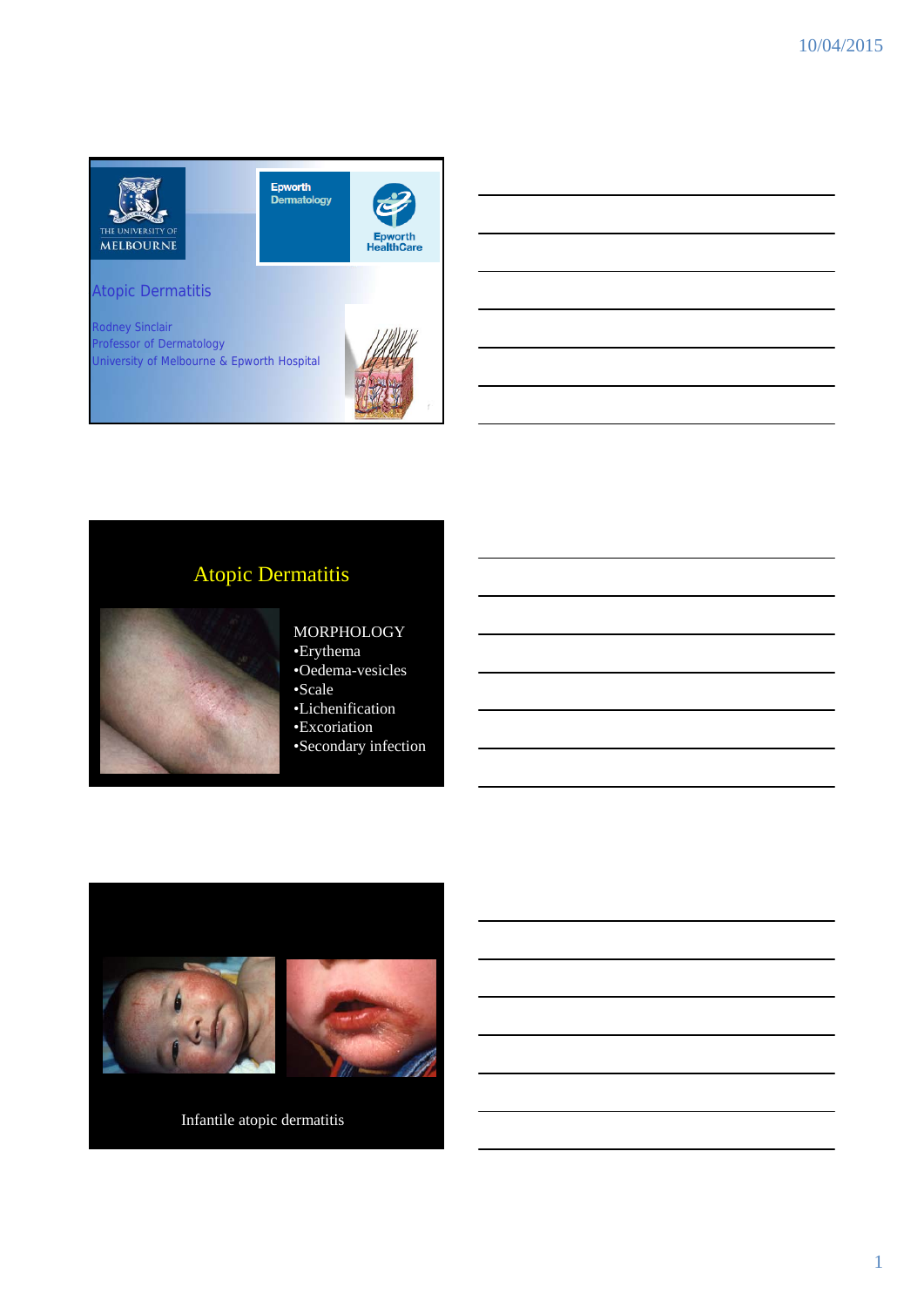

Epworth<br>Dermatology Epworth<br>HealthCare

### Atopic Dermatitis

Rodney Sinclair Professor of Dermatology University of Melbourne & Epworth Hospital



## Atopic Dermatitis



### MORPHOLOGY •Erythema

- •Oedema-vesicles •Scale
- 
- •Lichenification •Excoriation
- •Secondary infection



Infantile atopic dermatitis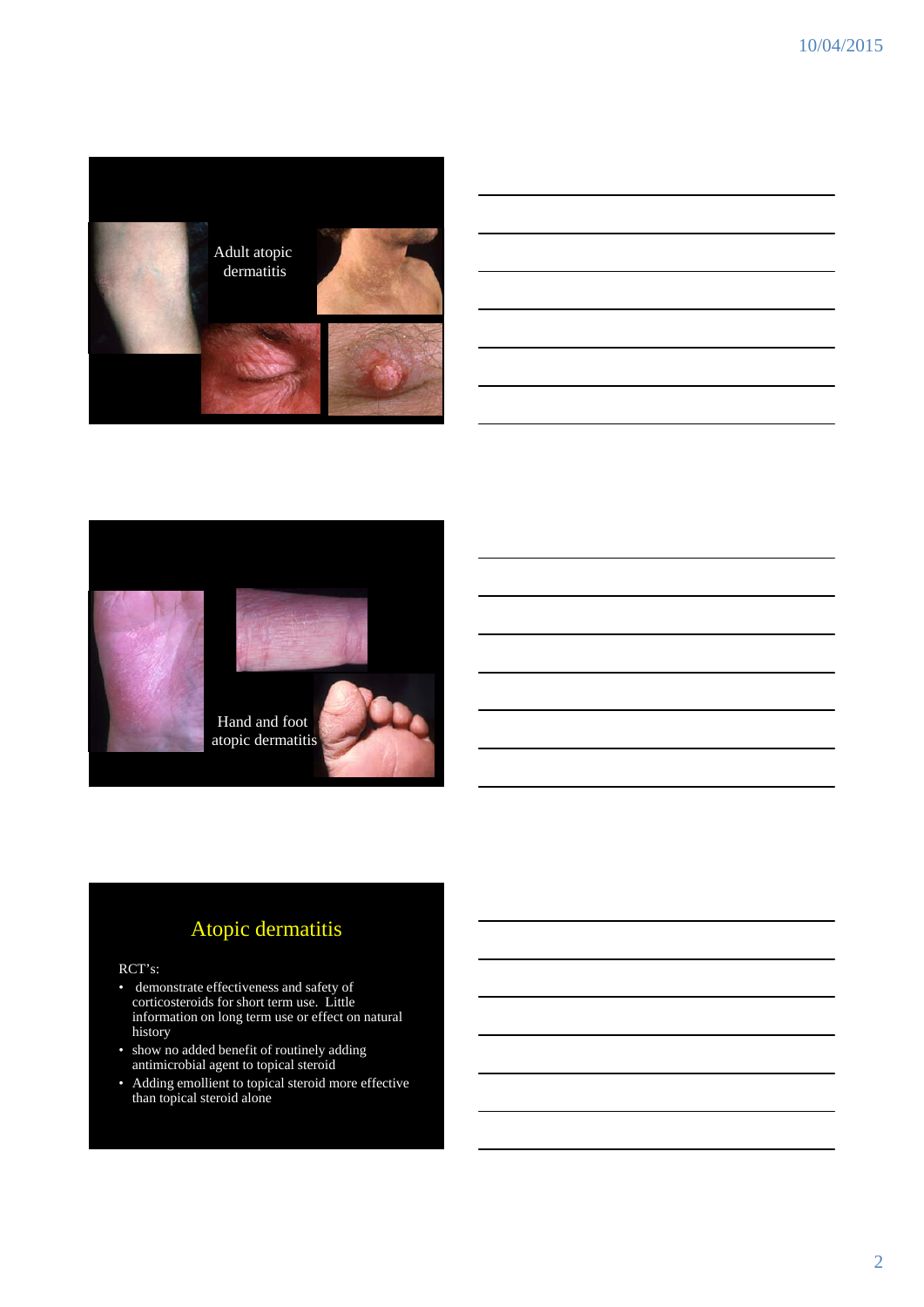

### Atopic dermatitis

Hand and foot atopic dermatitis

#### RCT's:

- demonstrate effectiveness and safety of corticosteroids for short term use. Little information on long term use or effect on natural history
- show no added benefit of routinely adding antimicrobial agent to topical steroid
- Adding emollient to topical steroid more effective than topical steroid alone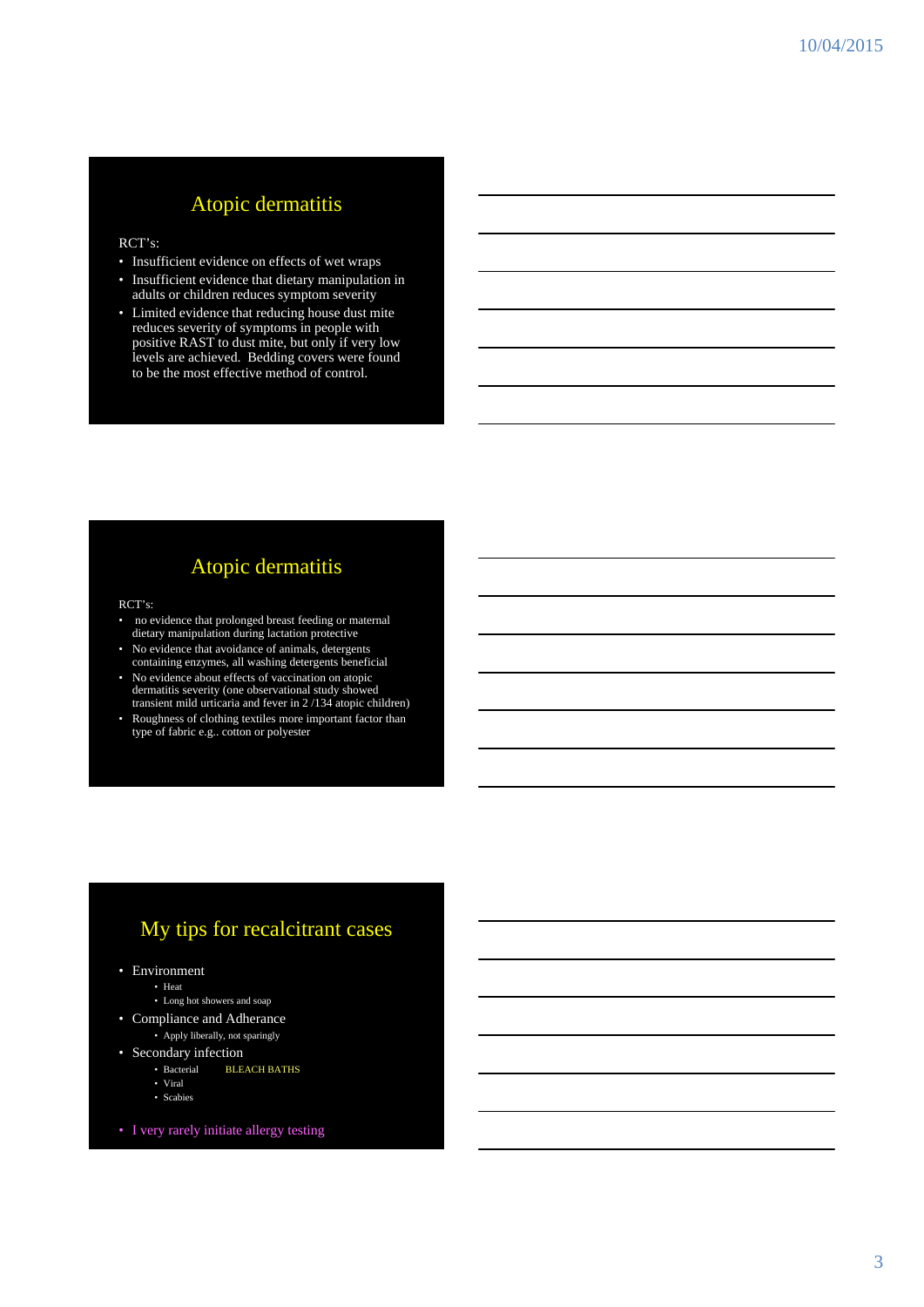### Atopic dermatitis

#### RCT's:

- Insufficient evidence on effects of wet wraps
- Insufficient evidence that dietary manipulation in adults or children reduces symptom severity
- Limited evidence that reducing house dust mite reduces severity of symptoms in people with positive RAST to dust mite, but only if very low levels are achieved. Bedding covers were found to be the most effective method of control.

### Atopic dermatitis

#### RCT's:

- no evidence that prolonged breast feeding or maternal dietary manipulation during lactation protective
- No evidence that avoidance of animals, detergents containing enzymes, all washing detergents beneficial
- No evidence about effects of vaccination on atopic dermatitis severity (one observational study showed transient mild urticaria and fever in 2 /134 atopic children)
- Roughness of clothing textiles more important factor than type of fabric e.g.. cotton or polyester

### My tips for recalcitrant cases

- Environment
	- Heat
	- Long hot showers and soap
- Compliance and Adherance • Apply liberally, not sparingly
- Secondary infection
	- Bacterial BLEACH BATHS
	- Viral
	- Scabies
- I very rarely initiate allergy testing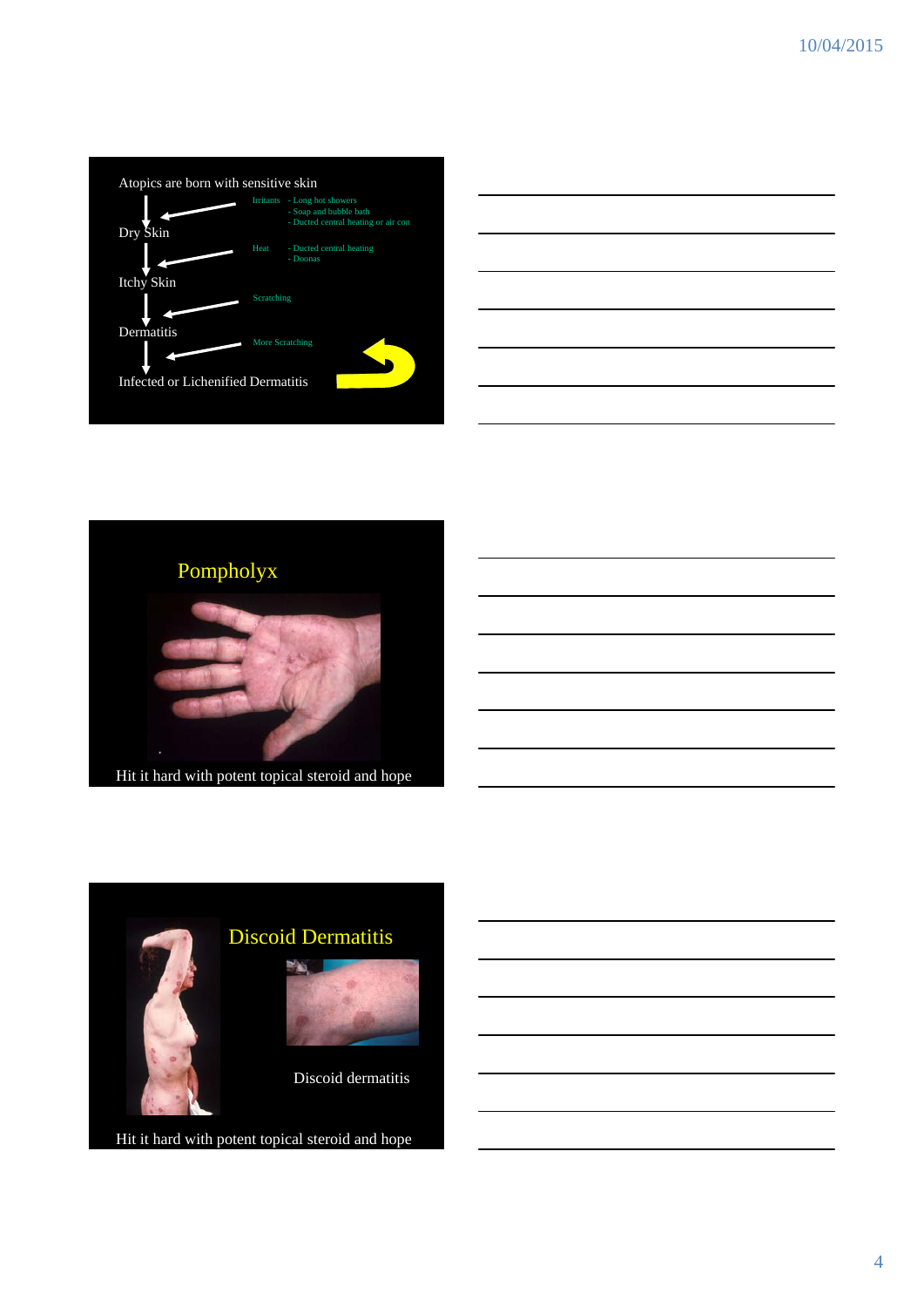

| <u> 1989 - Johann Harry Harry Harry Harry Harry Harry Harry Harry Harry Harry Harry Harry Harry Harry Harry Harry</u> |  |  |
|-----------------------------------------------------------------------------------------------------------------------|--|--|
|                                                                                                                       |  |  |
|                                                                                                                       |  |  |
|                                                                                                                       |  |  |





Hit it hard with potent topical steroid and hope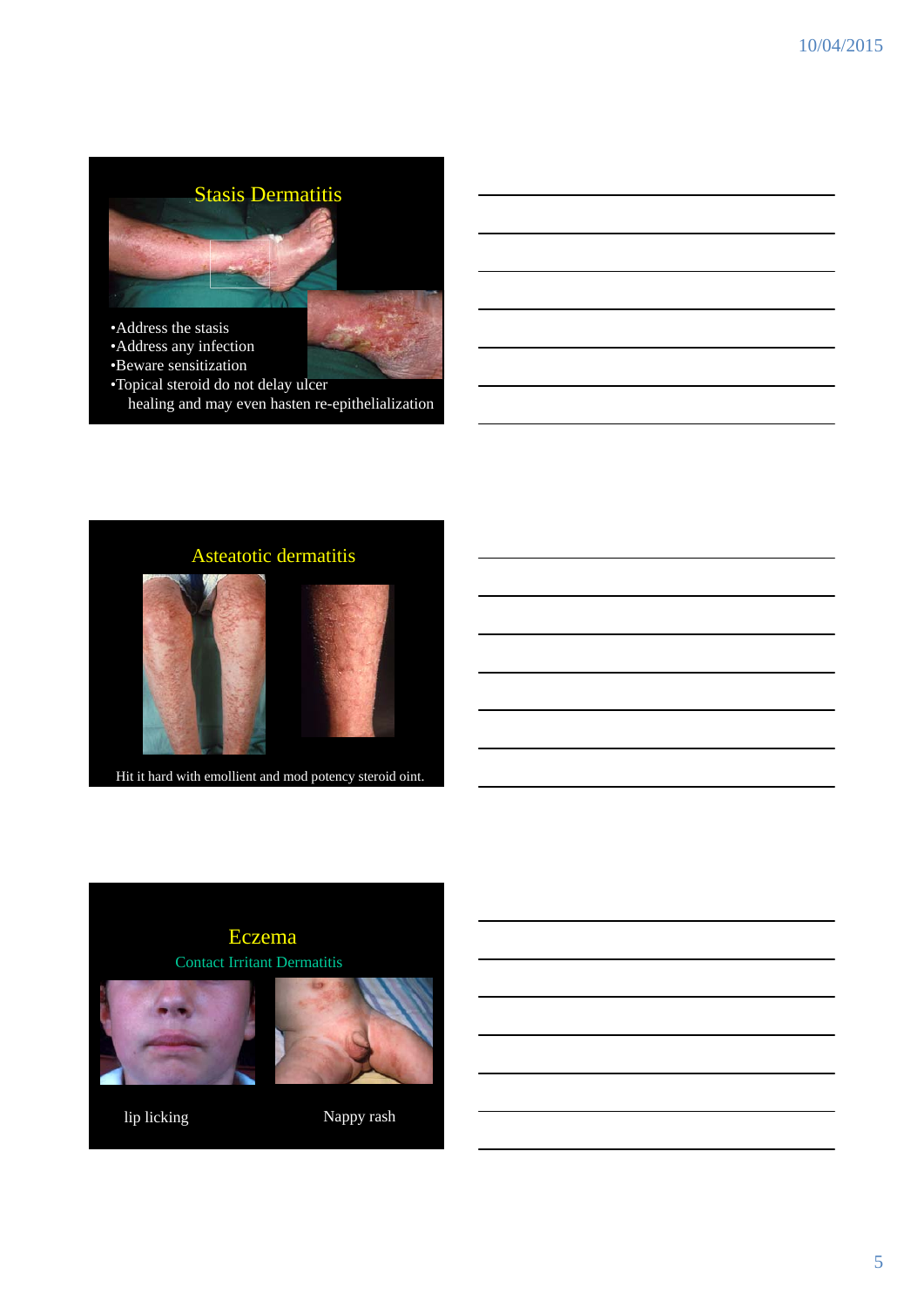# Stasis Dermatitis



- •Address the stasis
- •Address any infection
- •Beware sensitization
- •Topical steroid do not delay ulcer healing and may even hasten re-epithelialization



Hit it hard with emollient and mod potency steroid oint.



lip licking Nappy rash